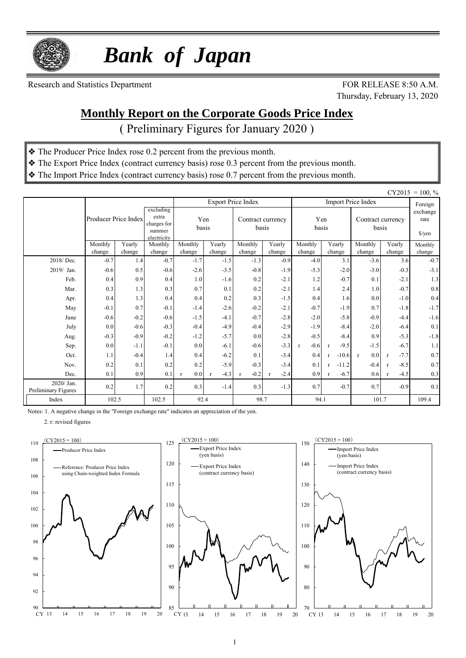

 *Bank of Japan*

Research and Statistics Department FOR RELEASE 8:50 A.M.

Thursday, February 13, 2020

### **Monthly Report on the Corporate Goods Price Index**

( Preliminary Figures for January 2020 )

- ❖ The Producer Price Index rose 0.2 percent from the previous month.
- ❖ The Export Price Index (contract currency basis) rose 0.3 percent from the previous month.
- ❖ The Import Price Index (contract currency basis) rose 0.7 percent from the previous month.

|                                   | $CY2015 = 100, %$    |        |                                                            |                     |             |                            |             |                        |                         |                            |                                     |         |  |
|-----------------------------------|----------------------|--------|------------------------------------------------------------|---------------------|-------------|----------------------------|-------------|------------------------|-------------------------|----------------------------|-------------------------------------|---------|--|
|                                   |                      |        |                                                            |                     |             | <b>Export Price Index</b>  |             |                        |                         | <b>Import Price Index</b>  |                                     | Foreign |  |
|                                   | Producer Price Index |        | excluding<br>extra<br>charges for<br>summer<br>electricity | Yen<br>basis        |             | Contract currency<br>basis |             | Yen<br>basis           |                         | Contract currency<br>basis | exchange<br>rate<br>$\sqrt{\gamma}$ |         |  |
|                                   | Monthly              | Yearly | Monthly                                                    | Monthly             | Yearly      | Monthly                    | Yearly      |                        | Monthly<br>Yearly       |                            | Yearly<br>Monthly                   |         |  |
|                                   | change               | change | change                                                     | change              | change      | change                     | change      | change                 | change                  | change                     | change                              | change  |  |
| 2018/Dec.                         | $-0.7$               | 1.4    | $-0.7$                                                     | $-1.7$              | $-1.5$      | $-1.3$                     | $-0.9$      | $-4.0$                 | 3.1                     | $-3.6$                     | 3.6                                 | $-0.7$  |  |
| 2019/ Jan.                        | $-0.6$               | 0.5    | $-0.6$                                                     | $-2.6$              | $-3.5$      | $-0.8$                     | $-1.9$      | $-5.3$                 | $-2.0$                  | $-3.0$                     | $-0.3$                              | $-3.1$  |  |
| Feb.                              | 0.4                  | 0.9    | 0.4                                                        | 1.0                 | $-1.6$      | 0.2                        | $-2.1$      | 1.2                    | $-0.7$                  | 0.1                        | $-2.1$                              | 1.3     |  |
| Mar.                              | 0.3                  | 1.3    | 0.3                                                        | 0.7                 | 0.1         | 0.2                        | $-2.1$      | 1.4                    | 2.4                     | 1.0                        | $-0.7$                              | $0.8\,$ |  |
| Apr.                              | 0.4                  | 1.3    | 0.4                                                        | 0.4                 | 0.2         | 0.3                        | $-1.5$      | 0.4                    | 1.6                     | 0.0                        | $-1.0$                              | 0.4     |  |
| May                               | $-0.1$               | 0.7    | $-0.1$                                                     | $-1.4$              | $-2.6$      | $-0.2$                     | $-2.1$      | $-0.7$                 | $-1.9$                  | 0.7                        | $-1.8$                              | $-1.7$  |  |
| June                              | $-0.6$               | $-0.2$ | $-0.6$                                                     | $-1.5$              | $-4.1$      | $-0.7$                     | $-2.8$      | $-2.0$                 | $-5.8$                  | $-0.9$                     | $-4.4$                              | $-1.6$  |  |
| July                              | 0.0                  | $-0.6$ | $-0.3$                                                     | $-0.4$              | $-4.9$      | $-0.4$                     | $-2.9$      | $-1.9$                 | $-8.4$                  | $-2.0$                     | $-6.4$                              | 0.1     |  |
| Aug.                              | $-0.3$               | $-0.9$ | $-0.2$                                                     | $-1.2$              | $-5.7$      | 0.0                        | $-2.8$      | $-0.5$                 | $-8.4$                  | 0.9                        | $-5.3$                              | $-1.8$  |  |
| Sep.                              | 0.0                  | $-1.1$ | $-0.1$                                                     | 0.0                 | $-6.1$      | $-0.6$                     | $-3.3$      | $-0.6$<br>$\mathbf{r}$ | $-9.5$<br>$\mathbf{r}$  | $-1.5$                     | $-6.7$                              | 1.1     |  |
| Oct.                              | 1.1                  | $-0.4$ | 1.4                                                        | 0.4                 | $-6.2$      | 0.1                        | $-3.4$      | 0.4                    | $-10.6$<br>$\mathbf{r}$ | 0.0<br>$\mathbf{r}$        | $-7.7$<br>$\mathbf{r}$              | 0.7     |  |
| Nov.                              | 0.2                  | 0.1    | 0.2                                                        | 0.2                 | $-5.9$      | $-0.3$                     | $-3.4$      | 0.1                    | $-11.2$<br>$\mathbf{r}$ | $-0.4$                     | $-8.5$<br>$\mathbf{r}$              | 0.7     |  |
| Dec.                              | 0.1                  | 0.9    | 0.1                                                        | 0.0<br>$\mathbf{r}$ | $-4.3$<br>r | $-0.2$<br>$\mathbf{r}$     | $-2.4$<br>r | 0.9                    | $-6.7$<br>$\mathbf{r}$  | 0.6                        | $-4.5$<br>$\mathbf{r}$              | 0.3     |  |
| 2020/ Jan.<br>Preliminary Figures | 0.2                  | 1.7    | 0.2                                                        | 0.3                 | $-1.4$      | 0.3                        | $-1.3$      | 0.7                    | $-0.7$                  | 0.7                        | $-0.9$                              | 0.1     |  |
| Index                             | 102.5                |        | 102.5                                                      | 92.4                |             | 98.7                       |             | 94.1                   |                         | 101.7                      | 109.4                               |         |  |

Notes: 1. A negative change in the "Foreign exchange rate" indicates an appreciation of the yen.

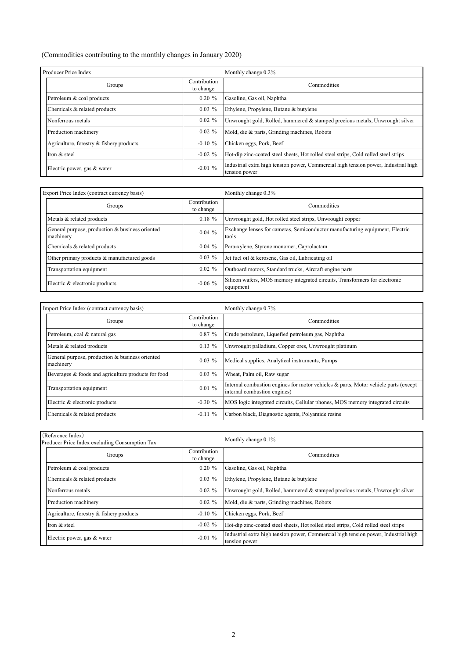#### (Commodities contributing to the monthly changes in January 2020)

| Producer Price Index                     |                           | Monthly change 0.2%                                                                                  |  |  |  |  |  |  |
|------------------------------------------|---------------------------|------------------------------------------------------------------------------------------------------|--|--|--|--|--|--|
| Groups                                   | Contribution<br>to change | Commodities                                                                                          |  |  |  |  |  |  |
| Petroleum & coal products                | $0.20 \%$                 | Gasoline, Gas oil, Naphtha                                                                           |  |  |  |  |  |  |
| Chemicals & related products             | $0.03\%$                  | Ethylene, Propylene, Butane & butylene                                                               |  |  |  |  |  |  |
| Nonferrous metals                        | $0.02 \%$                 | Unwrought gold, Rolled, hammered & stamped precious metals, Unwrought silver                         |  |  |  |  |  |  |
| Production machinery                     | $0.02 \%$                 | Mold, die & parts, Grinding machines, Robots                                                         |  |  |  |  |  |  |
| Agriculture, forestry & fishery products | $-0.10 \%$                | Chicken eggs, Pork, Beef                                                                             |  |  |  |  |  |  |
| Iron & steel                             | $-0.02 \%$                | Hot-dip zinc-coated steel sheets, Hot rolled steel strips, Cold rolled steel strips                  |  |  |  |  |  |  |
| Electric power, gas & water              | $-0.01\%$                 | Industrial extra high tension power, Commercial high tension power, Industrial high<br>tension power |  |  |  |  |  |  |

| Export Price Index (contract currency basis)                 |                           | Monthly change 0.3%                                                                      |  |  |  |  |  |  |
|--------------------------------------------------------------|---------------------------|------------------------------------------------------------------------------------------|--|--|--|--|--|--|
| Groups                                                       | Contribution<br>to change | Commodities                                                                              |  |  |  |  |  |  |
| Metals & related products                                    | $0.18 \%$                 | Unwrought gold, Hot rolled steel strips, Unwrought copper                                |  |  |  |  |  |  |
| General purpose, production & business oriented<br>machinery | $0.04\%$                  | Exchange lenses for cameras, Semiconductor manufacturing equipment, Electric<br>tools    |  |  |  |  |  |  |
| Chemicals & related products                                 | $0.04\%$                  | Para-xylene, Styrene monomer, Caprolactam                                                |  |  |  |  |  |  |
| Other primary products & manufactured goods                  | $0.03\%$                  | Jet fuel oil & kerosene, Gas oil, Lubricating oil                                        |  |  |  |  |  |  |
| Transportation equipment                                     | $0.02 \%$                 | Outboard motors, Standard trucks, Aircraft engine parts                                  |  |  |  |  |  |  |
| Electric & electronic products                               | $-0.06\%$                 | Silicon wafers, MOS memory integrated circuits, Transformers for electronic<br>equipment |  |  |  |  |  |  |

| Import Price Index (contract currency basis)                 |                           | Monthly change 0.7%                                                                                                 |  |  |  |  |  |  |
|--------------------------------------------------------------|---------------------------|---------------------------------------------------------------------------------------------------------------------|--|--|--|--|--|--|
| Groups                                                       | Contribution<br>to change | Commodities                                                                                                         |  |  |  |  |  |  |
| Petroleum, coal & natural gas                                | 0.87%                     | Crude petroleum, Liquefied petroleum gas, Naphtha                                                                   |  |  |  |  |  |  |
| Metals & related products                                    | $0.13\%$                  | Unwrought palladium, Copper ores, Unwrought platinum                                                                |  |  |  |  |  |  |
| General purpose, production & business oriented<br>machinery | $0.03\%$                  | Medical supplies, Analytical instruments, Pumps                                                                     |  |  |  |  |  |  |
| Beverages & foods and agriculture products for food          | $0.03\%$                  | Wheat, Palm oil, Raw sugar                                                                                          |  |  |  |  |  |  |
| Transportation equipment                                     | 0.01%                     | Internal combustion engines for motor vehicles & parts, Motor vehicle parts (except<br>internal combustion engines) |  |  |  |  |  |  |
| Electric & electronic products                               | $-0.30 \%$                | MOS logic integrated circuits, Cellular phones, MOS memory integrated circuits                                      |  |  |  |  |  |  |
| Chemicals & related products                                 | $-0.11\%$                 | Carbon black, Diagnostic agents, Polyamide resins                                                                   |  |  |  |  |  |  |

| (Reference Index)<br>Producer Price Index excluding Consumption Tax |                           | Monthly change 0.1%                                                                                  |  |  |  |  |  |
|---------------------------------------------------------------------|---------------------------|------------------------------------------------------------------------------------------------------|--|--|--|--|--|
| Groups                                                              | Contribution<br>to change | Commodities                                                                                          |  |  |  |  |  |
| Petroleum & coal products                                           | $0.20 \%$                 | Gasoline, Gas oil, Naphtha                                                                           |  |  |  |  |  |
| Chemicals & related products                                        | $0.03\%$                  | Ethylene, Propylene, Butane & butylene                                                               |  |  |  |  |  |
| Nonferrous metals                                                   | $0.02 \%$                 | Unwrought gold, Rolled, hammered & stamped precious metals, Unwrought silver                         |  |  |  |  |  |
| Production machinery                                                | $0.02 \%$                 | Mold, die & parts, Grinding machines, Robots                                                         |  |  |  |  |  |
| Agriculture, forestry & fishery products                            | $-0.10 \%$                | Chicken eggs, Pork, Beef                                                                             |  |  |  |  |  |
| Iron & steel                                                        | $-0.02 \%$                | Hot-dip zinc-coated steel sheets, Hot rolled steel strips, Cold rolled steel strips                  |  |  |  |  |  |
| Electric power, gas & water                                         | $-0.01\%$                 | Industrial extra high tension power, Commercial high tension power, Industrial high<br>tension power |  |  |  |  |  |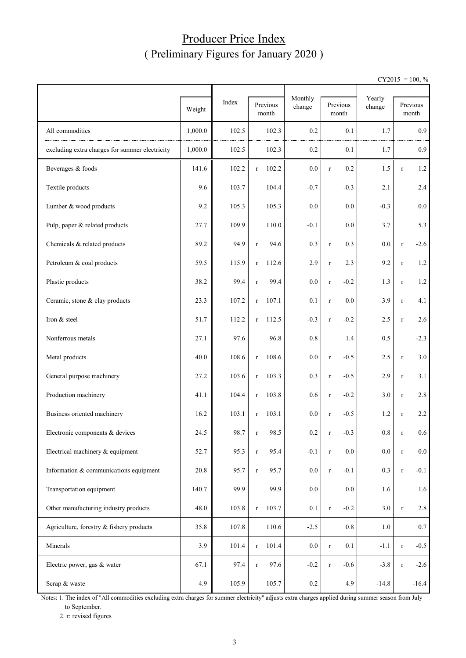### Producer Price Index ( Preliminary Figures for January 2020 )

 $CY2015 = 100, \%$ 

|                                                |         |       |                   | Monthly |                    | Yearly  |             |                   |
|------------------------------------------------|---------|-------|-------------------|---------|--------------------|---------|-------------|-------------------|
|                                                | Weight  | Index | Previous<br>month | change  | Previous<br>month  | change  |             | Previous<br>month |
| All commodities                                | 1,000.0 | 102.5 | 102.3             | 0.2     | 0.1                | 1.7     |             | 0.9               |
| excluding extra charges for summer electricity | 1,000.0 | 102.5 | 102.3             | 0.2     | 0.1                | 1.7     |             | 0.9               |
| Beverages & foods                              | 141.6   | 102.2 | 102.2<br>$\bf r$  | 0.0     | 0.2<br>$\bf r$     | 1.5     | $\bf r$     | 1.2               |
| Textile products                               | 9.6     | 103.7 | 104.4             | $-0.7$  | $-0.3$             | 2.1     |             | 2.4               |
| Lumber & wood products                         | 9.2     | 105.3 | 105.3             | 0.0     | 0.0                | $-0.3$  |             | 0.0               |
| Pulp, paper & related products                 | 27.7    | 109.9 | 110.0             | $-0.1$  | 0.0                | 3.7     |             | 5.3               |
| Chemicals & related products                   | 89.2    | 94.9  | 94.6<br>$\bf r$   | 0.3     | 0.3<br>$\bf r$     | 0.0     | $\bf r$     | $-2.6$            |
| Petroleum & coal products                      | 59.5    | 115.9 | 112.6<br>$\bf r$  | 2.9     | 2.3<br>$\bf r$     | 9.2     | $\bf r$     | 1.2               |
| Plastic products                               | 38.2    | 99.4  | 99.4<br>$\bf r$   | 0.0     | $-0.2$<br>$\bf r$  | 1.3     | $\bf r$     | 1.2               |
| Ceramic, stone & clay products                 | 23.3    | 107.2 | 107.1<br>$\bf r$  | 0.1     | 0.0<br>$\bf r$     | 3.9     | $\bf r$     | 4.1               |
| Iron & steel                                   | 51.7    | 112.2 | 112.5<br>$\bf r$  | $-0.3$  | $-0.2$<br>$\bf r$  | 2.5     | $\bf r$     | 2.6               |
| Nonferrous metals                              | 27.1    | 97.6  | 96.8              | 0.8     | 1.4                | 0.5     |             | $-2.3$            |
| Metal products                                 | 40.0    | 108.6 | 108.6<br>$\bf r$  | 0.0     | $-0.5$<br>$\bf r$  | 2.5     | $\bf r$     | 3.0               |
| General purpose machinery                      | 27.2    | 103.6 | 103.3<br>$\bf r$  | 0.3     | $-0.5$<br>$\bf r$  | 2.9     | $\bf r$     | 3.1               |
| Production machinery                           | 41.1    | 104.4 | 103.8<br>$\bf r$  | 0.6     | $-0.2$<br>$\bf r$  | 3.0     | $\bf r$     | 2.8               |
| Business oriented machinery                    | 16.2    | 103.1 | 103.1<br>$\bf r$  | 0.0     | $-0.5$<br>$\bf r$  | 1.2     | $\bf r$     | 2.2               |
| Electronic components & devices                | 24.5    | 98.7  | 98.5<br>r         | 0.2     | $-0.3$<br>r        | 0.8     |             | 0.6               |
| Electrical machinery & equipment               | 52.7    | 95.3  | 95.4<br>$\bf r$   | $-0.1$  | 0.0<br>$\mathbf r$ | $0.0\,$ | $\mathbf r$ | $0.0\,$           |
| Information & communications equipment         | 20.8    | 95.7  | 95.7<br>$\bf r$   | $0.0\,$ | $-0.1$<br>$\bf r$  | $0.3\,$ | $\bf r$     | $-0.1$            |
| Transportation equipment                       | 140.7   | 99.9  | 99.9              | $0.0\,$ | 0.0                | 1.6     |             | 1.6               |
| Other manufacturing industry products          | 48.0    | 103.8 | 103.7<br>$\bf r$  | 0.1     | $-0.2$<br>$\bf r$  | 3.0     | $\bf r$     | 2.8               |
| Agriculture, forestry & fishery products       | 35.8    | 107.8 | 110.6             | $-2.5$  | $0.8\,$            | 1.0     |             | $0.7\,$           |
| Minerals                                       | 3.9     | 101.4 | 101.4<br>$\bf r$  | $0.0\,$ | 0.1<br>$\bf r$     | $-1.1$  | $\bf r$     | $-0.5$            |
| Electric power, gas & water                    | 67.1    | 97.4  | 97.6<br>$\bf r$   | $-0.2$  | $-0.6$<br>$\bf r$  | $-3.8$  | $\bf r$     | $-2.6$            |
| Scrap & waste                                  | 4.9     | 105.9 | 105.7             | $0.2\,$ | 4.9                | $-14.8$ |             | $-16.4$           |

Notes: 1. The index of "All commodities excluding extra charges for summer electricity" adjusts extra charges applied during summer season from July to September.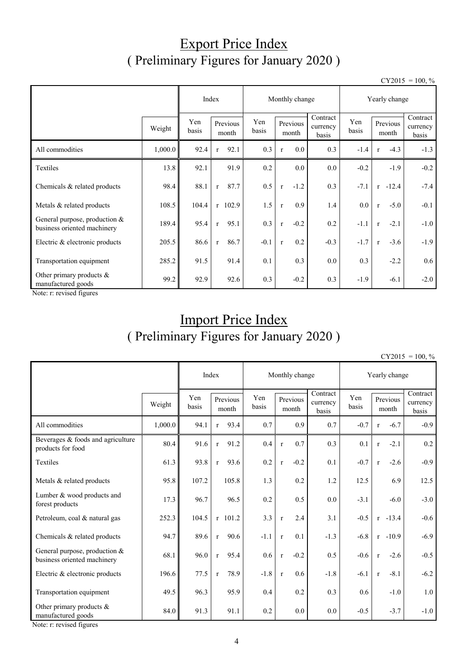### Export Price Index ( Preliminary Figures for January 2020 )

 $CY2015 = 100, \%$ 

|                                                                |         | Index        |                      | Monthly change |                       | Yearly change                 |              |                        |                               |
|----------------------------------------------------------------|---------|--------------|----------------------|----------------|-----------------------|-------------------------------|--------------|------------------------|-------------------------------|
|                                                                | Weight  | Yen<br>basis | Previous<br>month    | Yen<br>basis   | Previous<br>month     | Contract<br>currency<br>basis | Yen<br>basis | Previous<br>month      | Contract<br>currency<br>basis |
| All commodities                                                | 1,000.0 | 92.4         | 92.1<br>$\mathbf{r}$ | 0.3            | 0.0<br>$\mathbf{r}$   | 0.3                           | $-1.4$       | $-4.3$<br>$\mathbf{r}$ | $-1.3$                        |
| Textiles                                                       | 13.8    | 92.1         | 91.9                 | 0.2            | 0.0                   | $0.0\,$                       | $-0.2$       | $-1.9$                 | $-0.2$                        |
| Chemicals & related products                                   | 98.4    | 88.1         | 87.7<br>$\mathbf{r}$ | 0.5            | $-1.2$<br>$\mathbf r$ | 0.3                           | $-7.1$       | $r - 12.4$             | $-7.4$                        |
| Metals & related products                                      | 108.5   | 104.4        | $r$ 102.9            | 1.5            | 0.9<br>$\mathbf{r}$   | 1.4                           | 0.0          | $-5.0$<br>$\mathbf{r}$ | $-0.1$                        |
| General purpose, production $&$<br>business oriented machinery | 189.4   | 95.4         | 95.1<br>$\mathbf{r}$ | 0.3            | $-0.2$<br>$\mathbf r$ | 0.2                           | $-1.1$       | $-2.1$<br>$\mathbf{r}$ | $-1.0$                        |
| Electric & electronic products                                 | 205.5   | 86.6         | 86.7<br>$\mathbf{r}$ | $-0.1$         | 0.2<br>$\mathbf{r}$   | $-0.3$                        | $-1.7$       | $-3.6$<br>$\mathbf{r}$ | $-1.9$                        |
| Transportation equipment                                       | 285.2   | 91.5         | 91.4                 | 0.1            | 0.3                   | 0.0                           | 0.3          | $-2.2$                 | 0.6                           |
| Other primary products &<br>manufactured goods                 | 99.2    | 92.9         | 92.6                 | 0.3            | $-0.2$                | 0.3                           | $-1.9$       | $-6.1$                 | $-2.0$                        |

Note: r: revised figures

## Import Price Index ( Preliminary Figures for January 2020 )

 $CY2015 = 100, \%$ 

|                                                              | Index   |       |                      | Monthly change    |              |                   |         | Yearly change                 |              |                   |            |                               |
|--------------------------------------------------------------|---------|-------|----------------------|-------------------|--------------|-------------------|---------|-------------------------------|--------------|-------------------|------------|-------------------------------|
|                                                              | Weight  |       |                      | Previous<br>month | Yen<br>basis | Previous<br>month |         | Contract<br>currency<br>basis | Yen<br>basis | Previous<br>month |            | Contract<br>currency<br>basis |
| All commodities                                              | 1,000.0 | 94.1  | 93.4<br>$\mathbf{r}$ |                   | 0.7          |                   | 0.9     | 0.7                           | $-0.7$       | $\mathbf{r}$      | $-6.7$     | $-0.9$                        |
| Beverages & foods and agriculture<br>products for food       | 80.4    | 91.6  | 91.2<br>$\mathbf r$  |                   | 0.4          | $\mathbf{r}$      | 0.7     | 0.3                           | 0.1          | $\mathbf{r}$      | $-2.1$     | 0.2                           |
| Textiles                                                     | 61.3    | 93.8  | 93.6<br>$\mathbf{r}$ |                   | 0.2          | $\mathbf r$       | $-0.2$  | 0.1                           | $-0.7$       | $\mathbf{r}$      | $-2.6$     | $-0.9$                        |
| Metals & related products                                    | 95.8    | 107.2 | 105.8                |                   | 1.3          |                   | 0.2     | 1.2                           | 12.5         |                   | 6.9        | 12.5                          |
| Lumber & wood products and<br>forest products                | 17.3    | 96.7  | 96.5                 |                   | 0.2          |                   | 0.5     | 0.0                           | $-3.1$       |                   | $-6.0$     | $-3.0$                        |
| Petroleum, coal & natural gas                                | 252.3   | 104.5 | $r$ 101.2            |                   | 3.3          | $\mathbf r$       | 2.4     | 3.1                           | $-0.5$       |                   | $r - 13.4$ | $-0.6$                        |
| Chemicals & related products                                 | 94.7    | 89.6  | $\mathbf{r}$         | 90.6              | $-1.1$       | $\mathbf{r}$      | 0.1     | $-1.3$                        | $-6.8$       |                   | $r -10.9$  | $-6.9$                        |
| General purpose, production &<br>business oriented machinery | 68.1    | 96.0  | 95.4<br>$\mathbf{r}$ |                   | 0.6          | $\mathbf{r}$      | $-0.2$  | 0.5                           | $-0.6$       | $\mathbf r$       | $-2.6$     | $-0.5$                        |
| Electric & electronic products                               | 196.6   | 77.5  | $\mathbf{r}$         | 78.9              | $-1.8$       | $\mathbf r$       | 0.6     | $-1.8$                        | $-6.1$       | $\mathbf{r}$      | $-8.1$     | $-6.2$                        |
| Transportation equipment                                     | 49.5    | 96.3  |                      | 95.9              | 0.4          |                   | 0.2     | 0.3                           | 0.6          |                   | $-1.0$     | 1.0                           |
| Other primary products $&$<br>manufactured goods             | 84.0    | 91.3  | 91.1                 |                   | 0.2          |                   | $0.0\,$ | 0.0                           | $-0.5$       |                   | $-3.7$     | $-1.0$                        |

Note: r: revised figures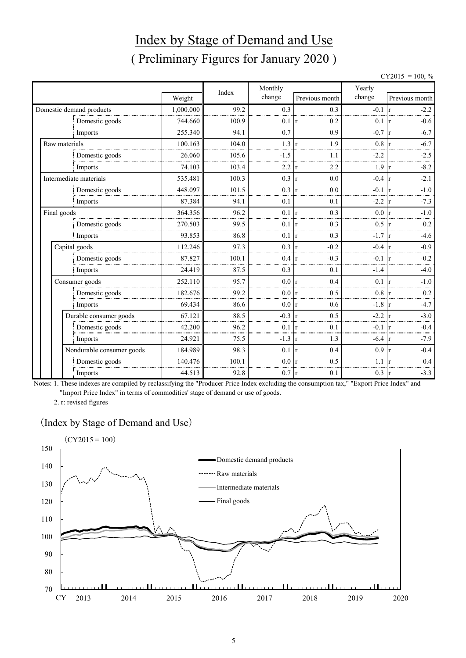## Index by Stage of Demand and Use ( Preliminary Figures for January 2020 )

| CY2015 | $= 100, \%$ |  |
|--------|-------------|--|
|--------|-------------|--|

|                |                           |           | Index | Monthly |                     | Yearly           |                    |  |
|----------------|---------------------------|-----------|-------|---------|---------------------|------------------|--------------------|--|
|                |                           | Weight    |       | change  | Previous month      | change           | Previous month     |  |
|                | Domestic demand products  | 1,000.000 | 99.2  | 0.3     | 0.3                 | $-0.1 \text{ r}$ | $-2.2$             |  |
| Domestic goods |                           | 744.660   | 100.9 | 0.1     | 0.2                 | 0.1              | $-0.6$             |  |
|                | Imports                   | 255.340   | 94.1  | 0.7     | 0.9                 | $-0.7$           | $-6.7$             |  |
| Raw materials  |                           | 100.163   | 104.0 | 1.3     | 1.9                 | 0.8              | $-6.7$             |  |
|                | Domestic goods            | 26.060    | 105.6 | $-1.5$  | 1.1                 | $-2.2$           | $-2.5$             |  |
|                | Imports                   | 74.103    | 103.4 | 2.2     | 2.2                 | 1.9              | $-8.2$<br>r        |  |
|                | Intermediate materials    | 535.481   | 100.3 | 0.3     | 0.0<br>r            | $-0.4 \text{ r}$ | $-2.1$             |  |
|                | Domestic goods            | 448.097   | 101.5 | 0.3     | 0.0                 | $-0.1$           | $-1.0$             |  |
|                | Imports                   | 87.384    | 94.1  | 0.1     | 0.1                 | $-2.2$           | $-7.3$<br>r        |  |
| Final goods    |                           | 364.356   | 96.2  | 0.1     | 0.3<br>r            | $0.0\,$          | $-1.0$<br>١r       |  |
|                | Domestic goods            | 270.503   | 99.5  | 0.1     | 0.3<br>I۳           | $0.5 \vert r$    | 0.2                |  |
|                | Imports                   | 93.853    | 86.8  | 0.1     | 0.3                 | $-1.7$           | $-4.6$             |  |
|                | Capital goods             | 112.246   | 97.3  | 0.3     | $-0.2$              | $-0.4$           | $-0.9$             |  |
|                | Domestic goods            | 87.827    | 100.1 | 0.4     | $-0.3$              | $-0.1$           | $-0.2$             |  |
|                | Imports                   | 24.419    | 87.5  | 0.3     | 0.1                 | $-1.4$           | $-4.0$             |  |
|                | Consumer goods            | 252.110   | 95.7  | 0.0     | 0.4<br>$\mathbf{r}$ | $0.1 \vert r$    | $-1.0$             |  |
|                | Domestic goods            | 182.676   | 99.2  | 0.0     | 0.5                 | 0.8              | 0.2                |  |
|                | Imports                   | 69.434    | 86.6  | 0.0     | 0.6<br>Ir           | $-1.8$           | $-4.7$<br><b>r</b> |  |
|                | Durable consumer goods    | 67.121    | 88.5  | $-0.3$  | 0.5                 | $-2.2$           | $-3.0$             |  |
|                | Domestic goods            | 42.200    | 96.2  | 0.1     | 0.1<br>l r          | $-0.1$           | $-0.4$             |  |
|                | Imports                   | 24.921    | 75.5  | $-1.3$  | 1.3                 | $-6.4$           | $-7.9$             |  |
|                | Nondurable consumer goods | 184.989   | 98.3  | 0.1     | 0.4                 | 0.9              | $-0.4$             |  |
|                | Domestic goods            | 140.476   | 100.1 | 0.0     | 0.5                 | 1.1              | 0.4                |  |
|                | Imports                   | 44.513    | 92.8  | 0.7     | 0.1<br>Ir           | 0.3              | $-3.3$<br>Ir       |  |

Notes: 1. These indexes are compiled by reclassifying the "Producer Price Index excluding the consumption tax," "Export Price Index" and "Import Price Index" in terms of commodities' stage of demand or use of goods.

2. r: revised figures

#### (Index by Stage of Demand and Use)

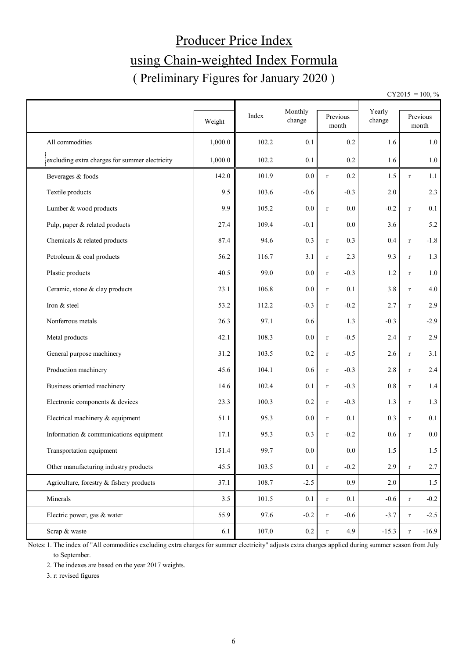# Producer Price Index using Chain-weighted Index Formula ( Preliminary Figures for January 2020 )

 $CY2015 = 100, \%$ 

|                                                | Weight  | Index | Monthly<br>change | Previous<br>$\mbox{month}$ |                  | Yearly<br>change |              | Previous<br>month |  |
|------------------------------------------------|---------|-------|-------------------|----------------------------|------------------|------------------|--------------|-------------------|--|
| All commodities                                | 1,000.0 | 102.2 | 0.1               |                            | 0.2              | 1.6              |              | 1.0               |  |
| excluding extra charges for summer electricity | 1,000.0 | 102.2 | 0.1               |                            | 0.2              | 1.6              |              | $1.0\,$           |  |
| Beverages & foods                              | 142.0   | 101.9 | 0.0               | $\mathbf r$                | 0.2              | 1.5              | $\bf r$      | 1.1               |  |
| Textile products                               | 9.5     | 103.6 | $-0.6$            |                            | $-0.3$           | $2.0\,$          |              | 2.3               |  |
| Lumber & wood products                         | 9.9     | 105.2 | 0.0               | $\mathbf r$                | 0.0              | $-0.2$           | $\bf r$      | 0.1               |  |
| Pulp, paper & related products                 | 27.4    | 109.4 | $-0.1$            |                            | $0.0\,$          | 3.6              |              | 5.2               |  |
| Chemicals & related products                   | 87.4    | 94.6  | 0.3               | $\bf r$                    | 0.3              | 0.4              | $\bf r$      | $-1.8$            |  |
| Petroleum & coal products                      | 56.2    | 116.7 | 3.1               | $\bf r$                    | 2.3              | 9.3              | $\bf r$      | 1.3               |  |
| Plastic products                               | 40.5    | 99.0  | 0.0               | $\mathbf{r}$               | $-0.3$           | 1.2              | $\mathbf{r}$ | 1.0               |  |
| Ceramic, stone & clay products                 | 23.1    | 106.8 | 0.0               | $\bf r$                    | 0.1              | 3.8              | $\bf r$      | 4.0               |  |
| Iron & steel                                   | 53.2    | 112.2 | $-0.3$            | $\bf r$                    | $-0.2$           | 2.7              | $\bf r$      | 2.9               |  |
| Nonferrous metals                              | 26.3    | 97.1  | 0.6               |                            | 1.3              | $-0.3$           |              | $-2.9$            |  |
| Metal products                                 | 42.1    | 108.3 | 0.0               | $\bf r$                    | $-0.5$           | 2.4              | $\bf r$      | 2.9               |  |
| General purpose machinery                      | 31.2    | 103.5 | 0.2               | $\bf r$                    | $-0.5$           | 2.6              | $\bf r$      | 3.1               |  |
| Production machinery                           | 45.6    | 104.1 | 0.6               | $\bf r$                    | $-0.3$           | 2.8              | $\bf r$      | 2.4               |  |
| Business oriented machinery                    | 14.6    | 102.4 | 0.1               | $\bf r$                    | $-0.3$           | $0.8\,$          | $\bf r$      | $1.4\,$           |  |
| Electronic components & devices                | 23.3    | 100.3 | 0.2               | $\bf r$                    | $-0.3$           | 1.3              | $\bf r$      | 1.3               |  |
| Electrical machinery & equipment               | 51.1    | 95.3  | 0.0               | $\bf r$                    | 0.1              | 0.3              | $\bf r$      | 0.1               |  |
| Information & communications equipment         | 17.1    | 95.3  | 0.3               | $\bf r$                    | $-0.2$           | 0.6              | $\mathbf{r}$ | $0.0\,$           |  |
| Transportation equipment                       | 151.4   | 99.7  | $0.0\,$           |                            | 0.0              | 1.5              |              | 1.5               |  |
| Other manufacturing industry products          | 45.5    | 103.5 | 0.1               | $\mathbf r$                | $-0.2$           | 2.9              | $\bf r$      | 2.7               |  |
| Agriculture, forestry & fishery products       | 37.1    | 108.7 | $-2.5$            |                            | 0.9 <sub>0</sub> | 2.0              |              | 1.5               |  |
| Minerals                                       | 3.5     | 101.5 | 0.1               | $\mathbf r$                | 0.1              | $-0.6$           | $\bf r$      | $-0.2$            |  |
| Electric power, gas & water                    | 55.9    | 97.6  | $-0.2$            | $\bf r$                    | $-0.6$           | $-3.7$           | $\bf r$      | $-2.5$            |  |
| Scrap & waste                                  | 6.1     | 107.0 | $0.2\,$           | $\mathbf r$                | 4.9              | $-15.3$          | $\bf r$      | $-16.9$           |  |

Notes: 1. The index of "All commodities excluding extra charges for summer electricity" adjusts extra charges applied during summer season from July to September.

2. The indexes are based on the year 2017 weights.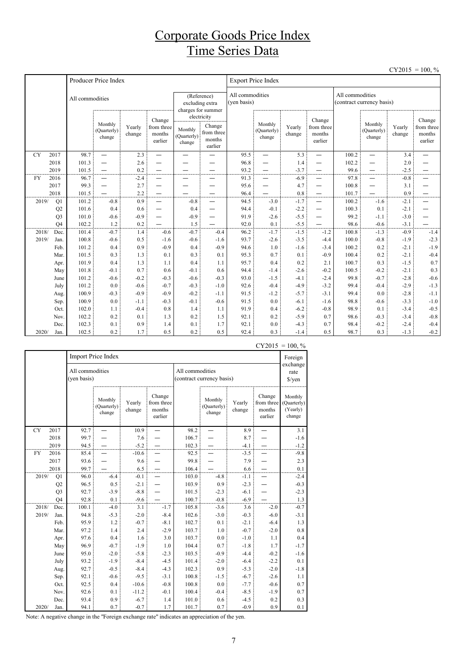### Corporate Goods Price Index Time Series Data

|           |                |                 |                                                      |                  |                                           |                                                      |                                                          |                                |                                                      |                  |                                           |                                              |                                  |                  | $CY2015 = 100, \%$                        |  |
|-----------|----------------|-----------------|------------------------------------------------------|------------------|-------------------------------------------|------------------------------------------------------|----------------------------------------------------------|--------------------------------|------------------------------------------------------|------------------|-------------------------------------------|----------------------------------------------|----------------------------------|------------------|-------------------------------------------|--|
|           |                |                 | Producer Price Index                                 |                  |                                           |                                                      |                                                          | <b>Export Price Index</b>      |                                                      |                  |                                           |                                              |                                  |                  |                                           |  |
|           |                | All commodities |                                                      |                  |                                           | (Reference)<br>excluding extra<br>charges for summer |                                                          | All commodities<br>(yen basis) |                                                      |                  |                                           | All commodities<br>(contract currency basis) |                                  |                  |                                           |  |
|           |                |                 | Monthly<br>(Quarterly)<br>change                     | Yearly<br>change | Change<br>from three<br>months<br>earlier | Monthly<br>(Quarterly)<br>change                     | electricity<br>Change<br>from three<br>months<br>earlier |                                | Monthly<br>(Quarterly)<br>change                     | Yearly<br>change | Change<br>from three<br>months<br>earlier |                                              | Monthly<br>(Quarterly)<br>change | Yearly<br>change | Change<br>from three<br>months<br>earlier |  |
| <b>CY</b> | 2017           | 98.7            | $\overline{\phantom{0}}$                             | 2.3              | $\overline{\phantom{0}}$                  | $\overline{\phantom{0}}$                             |                                                          | 95.5                           | $\overline{\phantom{0}}$                             | 5.3              | —                                         | 100.2                                        | $\overline{\phantom{0}}$         | 3.4              | $\overline{\phantom{0}}$                  |  |
|           | 2018           | 101.3           | $\overline{\phantom{0}}$                             | 2.6              |                                           |                                                      |                                                          | 96.8                           | $\overline{\phantom{0}}$                             | 1.4              | —                                         | 102.2                                        | $\overline{\phantom{0}}$         | 2.0              |                                           |  |
|           | 2019           | 101.5           | $\overline{\phantom{0}}$                             | 0.2              |                                           |                                                      |                                                          | 93.2                           | $\overline{\phantom{0}}$                             | $-3.7$           | —                                         | 99.6                                         | $\overline{\phantom{0}}$         | $-2.5$           | —                                         |  |
| <b>FY</b> | 2016           | 96.7            | $\overline{\phantom{0}}$                             | $-2.4$           | —                                         | —                                                    |                                                          | 91.3                           | $\overline{\phantom{0}}$                             | $-6.9$           |                                           | 97.8                                         | $\overline{\phantom{0}}$         | $-0.8$           | —                                         |  |
|           | 2017<br>2018   | 99.3<br>101.5   | $\overline{\phantom{0}}$<br>$\overline{\phantom{0}}$ | 2.7<br>2.2       | —                                         | -                                                    | $\overline{\phantom{0}}$                                 | 95.6<br>96.4                   | $\overline{\phantom{0}}$<br>$\overline{\phantom{0}}$ | 4.7<br>0.8       | -<br>$\overline{\phantom{0}}$             | 100.8<br>101.7                               | —<br>—                           | 3.1<br>0.9       | —<br>—                                    |  |
| 2019/     | Q1             | 101.2           | $-0.8$                                               | 0.9              | $\overline{\phantom{0}}$                  | $-0.8$                                               |                                                          | 94.5                           | $-3.0$                                               | $-1.7$           | $\overline{\phantom{0}}$                  | 100.2                                        | $-1.6$                           | $-2.1$           | $\overline{\phantom{0}}$                  |  |
|           | Q2             | 101.6           | 0.4                                                  | 0.6              |                                           | 0.4                                                  | $\overline{\phantom{0}}$                                 | 94.4                           | $-0.1$                                               | $-2.2$           | —                                         | 100.3                                        | 0.1                              | $-2.1$           | —                                         |  |
|           | Q <sub>3</sub> | 101.0           | $-0.6$                                               | $-0.9$           | —                                         | $-0.9$                                               | $\overline{\phantom{0}}$                                 | 91.9                           | $-2.6$                                               | $-5.5$           | —                                         | 99.2                                         | $-1.1$                           | $-3.0$           |                                           |  |
|           | O <sub>4</sub> | 102.2           | 1.2                                                  | 0.2              |                                           | 1.5                                                  |                                                          | 92.0                           | 0.1                                                  | $-5.5$           |                                           | 98.6                                         | $-0.6$                           | $-3.1$           |                                           |  |
| 2018/     | Dec.           | 101.4           | $-0.7$                                               | 1.4              | $-0.6$                                    | $-0.7$                                               | $-0.4$                                                   | 96.2                           | $-1.7$                                               | $-1.5$           | $-1.2$                                    | 100.8                                        | $-1.3$                           | $-0.9$           | $-1.4$                                    |  |
| 2019/     | Jan.           | 100.8           | $-0.6$                                               | 0.5              | $-1.6$                                    | $-0.6$                                               | $-1.6$                                                   | 93.7                           | $-2.6$                                               | $-3.5$           | $-4.4$                                    | 100.0                                        | $-0.8$                           | $-1.9$           | $-2.3$                                    |  |
|           | Feb.           | 101.2           | 0.4                                                  | 0.9              | $-0.9$                                    | 0.4                                                  | $-0.9$                                                   | 94.6                           | 1.0                                                  | $-1.6$           | $-3.4$                                    | 100.2                                        | 0.2                              | $-2.1$           | $-1.9$                                    |  |
|           | Mar.           | 101.5           | 0.3                                                  | 1.3              | 0.1                                       | 0.3                                                  | 0.1                                                      | 95.3                           | 0.7                                                  | 0.1              | $-0.9$                                    | 100.4                                        | 0.2                              | $-2.1$           | $-0.4$                                    |  |
|           | Apr.           | 101.9           | 0.4                                                  | 1.3              | 1.1                                       | 0.4                                                  | 1.1                                                      | 95.7                           | 0.4                                                  | 0.2              | 2.1                                       | 100.7                                        | 0.3                              | $-1.5$           | 0.7                                       |  |
|           | May            | 101.8           | $-0.1$                                               | 0.7              | 0.6                                       | $-0.1$                                               | 0.6                                                      | 94.4                           | $-1.4$                                               | $-2.6$           | $-0.2$                                    | 100.5                                        | $-0.2$                           | $-2.1$           | 0.3                                       |  |
|           | June           | 101.2           | $-0.6$                                               | $-0.2$           | $-0.3$                                    | $-0.6$                                               | $-0.3$                                                   | 93.0                           | $-1.5$                                               | $-4.1$           | $-2.4$                                    | 99.8                                         | $-0.7$                           | $-2.8$           | $-0.6$                                    |  |
|           | July           | 101.2           | 0.0                                                  | $-0.6$           | $-0.7$                                    | $-0.3$                                               | $-1.0$                                                   | 92.6                           | $-0.4$                                               | $-4.9$           | $-3.2$                                    | 99.4                                         | $-0.4$                           | $-2.9$           | $-1.3$                                    |  |
|           | Aug.           | 100.9           | $-0.3$                                               | $-0.9$           | $-0.9$                                    | $-0.2$                                               | $-1.1$                                                   | 91.5                           | $-1.2$                                               | $-5.7$           | $-3.1$                                    | 99.4                                         | 0.0                              | $-2.8$           | $-1.1$                                    |  |
|           | Sep.           | 100.9           | 0.0                                                  | $-1.1$           | $-0.3$                                    | $-0.1$                                               | $-0.6$                                                   | 91.5                           | 0.0                                                  | $-6.1$           | $-1.6$                                    | 98.8                                         | $-0.6$                           | $-3.3$           | $-1.0$                                    |  |
|           | Oct.           | 102.0           | 1.1                                                  | $-0.4$           | 0.8                                       | 1.4                                                  | 1.1                                                      | 91.9                           | 0.4                                                  | $-6.2$           | $-0.8$                                    | 98.9                                         | 0.1                              | $-3.4$           | $-0.5$                                    |  |
|           | Nov.           | 102.2           | 0.2                                                  | 0.1              | 1.3                                       | 0.2                                                  | 1.5                                                      | 92.1                           | 0.2                                                  | $-5.9$           | 0.7                                       | 98.6                                         | $-0.3$                           | $-3.4$           | $-0.8$                                    |  |
|           | Dec.           | 102.3           | 0.1                                                  | 0.9              | 1.4                                       | 0.1                                                  | 1.7                                                      | 92.1                           | 0.0                                                  | $-4.3$           | 0.7                                       | 98.4                                         | $-0.2$                           | $-2.4$           | $-0.4$                                    |  |
| 2020/     | Jan.           | 102.5           | 0.2                                                  | 1.7              | 0.5                                       | 0.2                                                  | 0.5                                                      | 92.4                           | 0.3                                                  | $-1.4$           | 0.5                                       | 98.7                                         | 0.3                              | $-1.3$           | $-0.2$                                    |  |

|           |                                  | Import Price Index             |                                                               |         |                                  |                                              |                                                               |                                            |                                              |        |  |  |
|-----------|----------------------------------|--------------------------------|---------------------------------------------------------------|---------|----------------------------------|----------------------------------------------|---------------------------------------------------------------|--------------------------------------------|----------------------------------------------|--------|--|--|
|           |                                  | All commodities<br>(yen basis) |                                                               |         |                                  | All commodities<br>(contract currency basis) |                                                               | exchange<br>rate<br>$\sqrt{\frac{2}{\pi}}$ |                                              |        |  |  |
|           | Monthly<br>(Quarterly)<br>change |                                | Change<br>from three<br>Yearly<br>change<br>months<br>earlier |         | Monthly<br>(Quarterly)<br>change |                                              | Change<br>from three<br>Yearly<br>change<br>months<br>earlier |                                            | Monthly<br>(Quarterly)<br>(Yearly)<br>change |        |  |  |
| <b>CY</b> | 2017                             | 92.7                           |                                                               | 10.9    |                                  | 98.2                                         |                                                               | 8.9                                        |                                              | 3.1    |  |  |
|           | 2018                             | 99.7                           |                                                               | 7.6     |                                  | 106.7                                        |                                                               | 8.7                                        |                                              | $-1.6$ |  |  |
|           | 2019                             | 94.5                           |                                                               | $-5.2$  |                                  | 102.3                                        |                                                               | $-4.1$                                     |                                              | $-1.2$ |  |  |
| FY        | 2016                             | 85.4                           |                                                               | $-10.6$ |                                  | 92.5                                         |                                                               | $-3.5$                                     |                                              | $-9.8$ |  |  |
|           | 2017                             | 93.6                           |                                                               | 9.6     |                                  | 99.8                                         |                                                               | 7.9                                        |                                              | 2.3    |  |  |
|           | 2018                             | 99.7                           |                                                               | 6.5     |                                  | 106.4                                        |                                                               | 6.6                                        |                                              | 0.1    |  |  |
| 2019/     | Q1                               | 96.0                           | $-6.4$                                                        | $-0.1$  |                                  | 103.0                                        | $-4.8$                                                        | $-1.1$                                     |                                              | $-2.4$ |  |  |
|           | Q2                               | 96.5                           | 0.5                                                           | $-2.1$  |                                  | 103.9                                        | 0.9                                                           | $-2.3$                                     |                                              | $-0.3$ |  |  |
|           | Q <sub>3</sub>                   | 92.7                           | $-3.9$                                                        | $-8.8$  |                                  | 101.5                                        | $-2.3$                                                        | $-6.1$                                     |                                              | $-2.3$ |  |  |
|           | O <sub>4</sub>                   | 92.8                           | $0.1\,$                                                       | $-9.6$  |                                  | 100.7                                        | $-0.8$                                                        | $-6.9$                                     |                                              | 1.3    |  |  |
| 2018/     | Dec.                             | 100.1                          | $-4.0$                                                        | 3.1     | $-1.7$                           | 105.8                                        | $-3.6$                                                        | 3.6                                        | $-2.0$                                       | $-0.7$ |  |  |
| 2019/     | Jan.                             | 94.8                           | $-5.3$                                                        | $-2.0$  | $-8.4$                           | 102.6                                        | $-3.0$                                                        | $-0.3$                                     | $-6.0$                                       | $-3.1$ |  |  |
|           | Feb.                             | 95.9                           | 1.2                                                           | $-0.7$  | $-8.1$                           | 102.7                                        | 0.1                                                           | $-2.1$                                     | $-6.4$                                       | 1.3    |  |  |
|           | Mar.                             | 97.2                           | 1.4                                                           | 2.4     | $-2.9$                           | 103.7                                        | 1.0                                                           | $-0.7$                                     | $-2.0$                                       | 0.8    |  |  |
|           | Apr.                             | 97.6                           | 0.4                                                           | 1.6     | 3.0                              | 103.7                                        | 0.0                                                           | $-1.0$                                     | 1.1                                          | 0.4    |  |  |
|           | May                              | 96.9                           | $-0.7$                                                        | $-1.9$  | 1.0                              | 104.4                                        | 0.7                                                           | $-1.8$                                     | 1.7                                          | $-1.7$ |  |  |
|           | June                             | 95.0                           | $-2.0$                                                        | $-5.8$  | $-2.3$                           | 103.5                                        | $-0.9$                                                        | $-4.4$                                     | $-0.2$                                       | $-1.6$ |  |  |
|           | July                             | 93.2                           | $-1.9$                                                        | $-8.4$  | $-4.5$                           | 101.4                                        | $-2.0$                                                        | $-6.4$                                     | $-2.2$                                       | 0.1    |  |  |
|           | Aug.                             | 92.7                           | $-0.5$                                                        | $-8.4$  | $-4.3$                           | 102.3                                        | 0.9                                                           | $-5.3$                                     | $-2.0$                                       | $-1.8$ |  |  |
|           | Sep.                             | 92.1                           | $-0.6$                                                        | $-9.5$  | $-3.1$                           | 100.8                                        | $-1.5$                                                        | $-6.7$                                     | $-2.6$                                       | 1.1    |  |  |
|           | Oct.                             | 92.5                           | 0.4                                                           | $-10.6$ | $-0.8$                           | 100.8                                        | 0.0                                                           | $-7.7$                                     | $-0.6$                                       | 0.7    |  |  |
|           | Nov.                             | 92.6                           | 0.1                                                           | $-11.2$ | $-0.1$                           | 100.4                                        | $-0.4$                                                        | $-8.5$                                     | $-1.9$                                       | 0.7    |  |  |
|           | Dec.                             | 93.4                           | 0.9                                                           | $-6.7$  | 1.4                              | 101.0                                        | 0.6                                                           | $-4.5$                                     | 0.2                                          | 0.3    |  |  |
| 2020/     | Jan.                             | 94.1                           | 0.7                                                           | $-0.7$  | 1.7                              | 101.7                                        | 0.7                                                           | $-0.9$                                     | 0.9                                          | 0.1    |  |  |

 $CY2015 = 100, \%$ 

Note: A negative change in the "Foreign exchange rate" indicates an appreciation of the yen.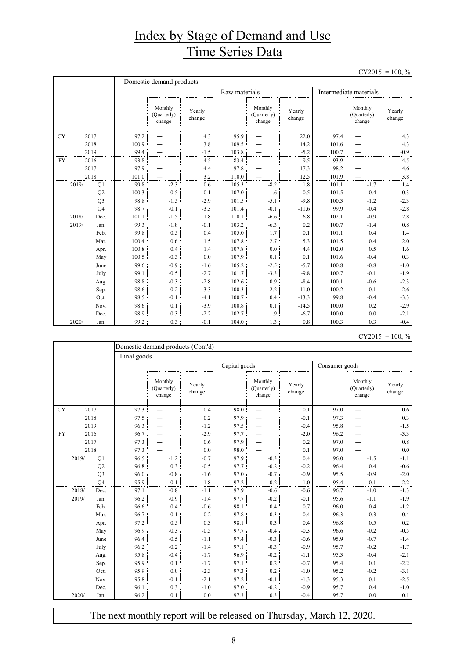### Index by Stage of Demand and Use Time Series Data

 $CY2015 = 100, \%$ 

|           |       |                | Domestic demand products |                                  |                  |               |                                  |                  |                        |                                  |                  |  |
|-----------|-------|----------------|--------------------------|----------------------------------|------------------|---------------|----------------------------------|------------------|------------------------|----------------------------------|------------------|--|
|           |       |                |                          |                                  |                  | Raw materials |                                  |                  | Intermediate materials |                                  |                  |  |
|           |       |                |                          | Monthly<br>(Quarterly)<br>change | Yearly<br>change |               | Monthly<br>(Quarterly)<br>change | Yearly<br>change |                        | Monthly<br>(Quarterly)<br>change | Yearly<br>change |  |
| <b>CY</b> |       | 2017           | 97.2                     |                                  | 4.3              | 95.9          |                                  | 22.0             | 97.4                   |                                  | 4.3              |  |
|           |       | 2018           | 100.9                    |                                  | 3.8              | 109.5         |                                  | 14.2             | 101.6                  |                                  | 4.3              |  |
|           |       | 2019           | 99.4                     |                                  | $-1.5$           | 103.8         |                                  | $-5.2$           | 100.7                  |                                  | $-0.9$           |  |
| <b>FY</b> |       | 2016           | 93.8                     |                                  | $-4.5$           | 83.4          |                                  | $-9.5$           | 93.9                   |                                  | $-4.5$           |  |
|           |       | 2017           | 97.9                     |                                  | 4.4              | 97.8          |                                  | 17.3             | 98.2                   |                                  | 4.6              |  |
|           |       | 2018           | 101.0                    |                                  | 3.2              | 110.0         |                                  | 12.5             | 101.9                  |                                  | 3.8              |  |
|           | 2019/ | Q1             | 99.8                     | $-2.3$                           | 0.6              | 105.3         | $-8.2$                           | 1.8              | 101.1                  | $-1.7$                           | 1.4              |  |
|           |       | Q2             | 100.3                    | 0.5                              | $-0.1$           | 107.0         | 1.6                              | $-0.5$           | 101.5                  | 0.4                              | 0.3              |  |
|           |       | Q <sub>3</sub> | 98.8                     | $-1.5$                           | $-2.9$           | 101.5         | $-5.1$                           | $-9.8$           | 100.3                  | $-1.2$                           | $-2.3$           |  |
|           |       | O <sub>4</sub> | 98.7                     | $-0.1$                           | $-3.3$           | 101.4         | $-0.1$                           | $-11.6$          | 99.9                   | $-0.4$                           | $-2.8$           |  |
|           | 2018/ | Dec.           | 101.1                    | $-1.5$                           | 1.8              | 110.1         | $-6.6$                           | 6.8              | 102.1                  | $-0.9$                           | 2.8              |  |
|           | 2019/ | Jan.           | 99.3                     | $-1.8$                           | $-0.1$           | 103.2         | $-6.3$                           | 0.2              | 100.7                  | $-1.4$                           | 0.8              |  |
|           |       | Feb.           | 99.8                     | 0.5                              | 0.4              | 105.0         | 1.7                              | 0.1              | 101.1                  | 0.4                              | 1.4              |  |
|           |       | Mar.           | 100.4                    | 0.6                              | 1.5              | 107.8         | 2.7                              | 5.3              | 101.5                  | 0.4                              | 2.0              |  |
|           |       | Apr.           | 100.8                    | 0.4                              | 1.4              | 107.8         | 0.0                              | 4.4              | 102.0                  | 0.5                              | 1.6              |  |
|           |       | May            | 100.5                    | $-0.3$                           | 0.0              | 107.9         | 0.1                              | 0.1              | 101.6                  | $-0.4$                           | 0.3              |  |
|           |       | June           | 99.6                     | $-0.9$                           | $-1.6$           | 105.2         | $-2.5$                           | $-5.7$           | 100.8                  | $-0.8$                           | $-1.0$           |  |
|           |       | July           | 99.1                     | $-0.5$                           | $-2.7$           | 101.7         | $-3.3$                           | $-9.8$           | 100.7                  | $-0.1$                           | $-1.9$           |  |
|           |       | Aug.           | 98.8                     | $-0.3$                           | $-2.8$           | 102.6         | 0.9                              | $-8.4$           | 100.1                  | $-0.6$                           | $-2.3$           |  |
|           |       | Sep.           | 98.6                     | $-0.2$                           | $-3.3$           | 100.3         | $-2.2$                           | $-11.0$          | 100.2                  | 0.1                              | $-2.6$           |  |
|           |       | Oct.           | 98.5                     | $-0.1$                           | $-4.1$           | 100.7         | 0.4                              | $-13.3$          | 99.8                   | $-0.4$                           | $-3.3$           |  |
|           |       | Nov.           | 98.6                     | 0.1                              | $-3.9$           | 100.8         | 0.1                              | $-14.5$          | 100.0                  | 0.2                              | $-2.9$           |  |
|           |       | Dec.           | 98.9                     | 0.3                              | $-2.2$           | 102.7         | 1.9                              | $-6.7$           | 100.0                  | 0.0                              | $-2.1$           |  |
|           | 2020/ | Jan.           | 99.2                     | 0.3                              | $-0.1$           | 104.0         | 1.3                              | 0.8              | 100.3                  | 0.3                              | $-0.4$           |  |

| CY2015 | $= 100, \%$ |  |
|--------|-------------|--|
|        |             |  |

|           |       |                | Domestic demand products (Cont'd) |                                  |                  |               |                                  |                  |                |                                  |                  |  |  |  |
|-----------|-------|----------------|-----------------------------------|----------------------------------|------------------|---------------|----------------------------------|------------------|----------------|----------------------------------|------------------|--|--|--|
|           |       |                |                                   | Final goods                      |                  |               |                                  |                  |                |                                  |                  |  |  |  |
|           |       |                |                                   |                                  |                  | Capital goods |                                  |                  | Consumer goods |                                  |                  |  |  |  |
|           |       |                |                                   | Monthly<br>(Quarterly)<br>change | Yearly<br>change |               | Monthly<br>(Quarterly)<br>change | Yearly<br>change |                | Monthly<br>(Quarterly)<br>change | Yearly<br>change |  |  |  |
| <b>CY</b> |       | 2017           | 97.3                              |                                  | 0.4              | 98.0          |                                  | 0.1              | 97.0           |                                  | 0.6              |  |  |  |
|           |       | 2018           | 97.5                              |                                  | 0.2              | 97.9          |                                  | $-0.1$           | 97.3           |                                  | 0.3              |  |  |  |
|           |       | 2019           | 96.3                              |                                  | $-1.2$           | 97.5          |                                  | $-0.4$           | 95.8           |                                  | $-1.5$           |  |  |  |
| <b>FY</b> |       | 2016           | 96.7                              |                                  | $-2.9$           | 97.7          |                                  | $-2.0$           | 96.2           |                                  | $-3.3$           |  |  |  |
|           |       | 2017           | 97.3                              |                                  | 0.6              | 97.9          |                                  | 0.2              | 97.0           |                                  | 0.8              |  |  |  |
|           |       | 2018           | 97.3                              |                                  | 0.0              | 98.0          |                                  | 0.1              | 97.0           |                                  | 0.0              |  |  |  |
|           | 2019/ | Q1             | 96.5                              | $-1.2$                           | $-0.7$           | 97.9          | $-0.3$                           | 0.4              | 96.0           | $-1.5$                           | $-1.1$           |  |  |  |
|           |       | Q2             | 96.8                              | 0.3                              | $-0.5$           | 97.7          | $-0.2$                           | $-0.2$           | 96.4           | 0.4                              | $-0.6$           |  |  |  |
|           |       | Q <sub>3</sub> | 96.0                              | $-0.8$                           | $-1.6$           | 97.0          | $-0.7$                           | $-0.9$           | 95.5           | $-0.9$                           | $-2.0$           |  |  |  |
|           |       | Q4             | 95.9                              | $-0.1$                           | $-1.8$           | 97.2          | 0.2                              | $-1.0$           | 95.4           | $-0.1$                           | $-2.2$           |  |  |  |
|           | 2018/ | Dec.           | 97.1                              | $-0.8$                           | $-1.1$           | 97.9          | $-0.6$                           | $-0.6$           | 96.7           | $-1.0$                           | $-1.3$           |  |  |  |
|           | 2019/ | Jan.           | 96.2                              | $-0.9$                           | $-1.4$           | 97.7          | $-0.2$                           | $-0.1$           | 95.6           | $-1.1$                           | $-1.9$           |  |  |  |
|           |       | Feb.           | 96.6                              | 0.4                              | $-0.6$           | 98.1          | 0.4                              | 0.7              | 96.0           | 0.4                              | $-1.2$           |  |  |  |
|           |       | Mar.           | 96.7                              | 0.1                              | $-0.2$           | 97.8          | $-0.3$                           | 0.4              | 96.3           | 0.3                              | $-0.4$           |  |  |  |
|           |       | Apr.           | 97.2                              | 0.5                              | 0.3              | 98.1          | 0.3                              | 0.4              | 96.8           | 0.5                              | 0.2              |  |  |  |
|           |       | May            | 96.9                              | $-0.3$                           | $-0.5$           | 97.7          | $-0.4$                           | $-0.3$           | 96.6           | $-0.2$                           | $-0.5$           |  |  |  |
|           |       | June           | 96.4                              | $-0.5$                           | $-1.1$           | 97.4          | $-0.3$                           | $-0.6$           | 95.9           | $-0.7$                           | $-1.4$           |  |  |  |
|           |       | July           | 96.2                              | $-0.2$                           | $-1.4$           | 97.1          | $-0.3$                           | $-0.9$           | 95.7           | $-0.2$                           | $-1.7$           |  |  |  |
|           |       | Aug.           | 95.8                              | $-0.4$                           | $-1.7$           | 96.9          | $-0.2$                           | $-1.1$           | 95.3           | $-0.4$                           | $-2.1$           |  |  |  |
|           |       | Sep.           | 95.9                              | 0.1                              | $-1.7$           | 97.1          | 0.2                              | $-0.7$           | 95.4           | 0.1                              | $-2.2$           |  |  |  |
|           |       | Oct.           | 95.9                              | 0.0                              | $-2.3$           | 97.3          | 0.2                              | $-1.0$           | 95.2           | $-0.2$                           | $-3.1$           |  |  |  |
|           |       | Nov.           | 95.8                              | $-0.1$                           | $-2.1$           | 97.2          | $-0.1$                           | $-1.3$           | 95.3           | 0.1                              | $-2.5$           |  |  |  |
|           |       | Dec.           | 96.1                              | 0.3                              | $-1.0$           | 97.0          | $-0.2$                           | $-0.9$           | 95.7           | 0.4                              | $-1.0$           |  |  |  |
|           | 2020/ | Jan.           | 96.2                              | 0.1                              | 0.0              | 97.3          | 0.3                              | $-0.4$           | 95.7           | 0.0                              | 0.1              |  |  |  |

The next monthly report will be released on Thursday, March 12, 2020.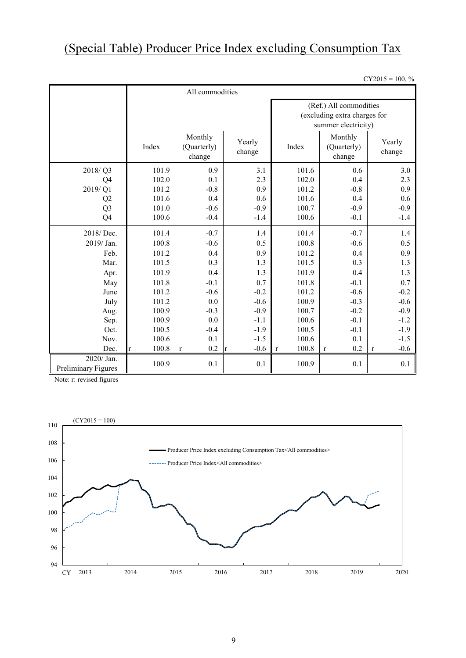## (Special Table) Producer Price Index excluding Consumption Tax

 $CY2015 = 100, \%$ 

|                                     | All commodities       |                                  |                     |                                                                               |                                  |                       |  |  |  |  |
|-------------------------------------|-----------------------|----------------------------------|---------------------|-------------------------------------------------------------------------------|----------------------------------|-----------------------|--|--|--|--|
|                                     |                       |                                  |                     | (Ref.) All commodities<br>(excluding extra charges for<br>summer electricity) |                                  |                       |  |  |  |  |
|                                     | Index                 | Monthly<br>(Quarterly)<br>change | Yearly<br>change    | Index                                                                         | Monthly<br>(Quarterly)<br>change | Yearly<br>change      |  |  |  |  |
| 2018/Q3                             | 101.9                 | 0.9                              | 3.1                 | 101.6                                                                         | 0.6                              | 3.0                   |  |  |  |  |
| Q4                                  | 102.0                 | 0.1                              | 2.3                 | 102.0                                                                         | 0.4                              | 2.3                   |  |  |  |  |
| 2019/Q1                             | 101.2                 | $-0.8$                           | 0.9                 | 101.2                                                                         | $-0.8$                           | 0.9                   |  |  |  |  |
| Q2                                  | 101.6                 | 0.4                              | 0.6                 | 101.6                                                                         | 0.4                              | 0.6                   |  |  |  |  |
| Q <sub>3</sub>                      | 101.0                 | $-0.6$                           | $-0.9$              | 100.7                                                                         | $-0.9$                           | $-0.9$                |  |  |  |  |
| Q <sub>4</sub>                      | 100.6                 | $-0.4$                           | $-1.4$              | 100.6                                                                         | $-0.1$                           | $-1.4$                |  |  |  |  |
| 2018/Dec.                           | 101.4                 | $-0.7$                           | 1.4                 | 101.4                                                                         | $-0.7$                           | 1.4                   |  |  |  |  |
| 2019/ Jan.                          | 100.8                 | $-0.6$                           | 0.5                 | 100.8                                                                         | $-0.6$                           | 0.5                   |  |  |  |  |
| Feb.                                | 101.2                 | 0.4                              | 0.9                 | 101.2                                                                         | 0.4                              | 0.9                   |  |  |  |  |
| Mar.                                | 101.5                 | 0.3                              | 1.3                 | 101.5                                                                         | 0.3                              | 1.3                   |  |  |  |  |
| Apr.                                | 101.9                 | 0.4                              | 1.3                 | 101.9                                                                         | 0.4                              | 1.3                   |  |  |  |  |
| May                                 | 101.8                 | $-0.1$                           | 0.7                 | 101.8                                                                         | $-0.1$                           | 0.7                   |  |  |  |  |
| June                                | 101.2                 | $-0.6$                           | $-0.2$              | 101.2                                                                         | $-0.6$                           | $-0.2$                |  |  |  |  |
| July                                | 101.2                 | 0.0                              | $-0.6$              | 100.9                                                                         | $-0.3$                           | $-0.6$                |  |  |  |  |
| Aug.                                | 100.9                 | $-0.3$                           | $-0.9$              | 100.7                                                                         | $-0.2$                           | $-0.9$                |  |  |  |  |
| Sep.                                | 100.9                 | 0.0                              | $-1.1$              | 100.6                                                                         | $-0.1$                           | $-1.2$                |  |  |  |  |
| Oct.                                | 100.5                 | $-0.4$                           | $-1.9$              | 100.5                                                                         | $-0.1$                           | $-1.9$                |  |  |  |  |
| Nov.                                | 100.6                 | 0.1                              | $-1.5$              | 100.6                                                                         | 0.1                              | $-1.5$                |  |  |  |  |
| Dec.                                | 100.8<br>$\mathbf{r}$ | 0.2<br>$\mathbf{r}$              | $-0.6$<br>$\vert r$ | 100.8<br>$\mathbf{r}$                                                         | 0.2<br>$\mathbf r$               | $-0.6$<br>$\mathbf r$ |  |  |  |  |
| $2020/$ Jan.<br>Preliminary Figures | 100.9                 | 0.1                              | 0.1                 | 100.9                                                                         | 0.1                              | 0.1                   |  |  |  |  |

Note: r: revised figures